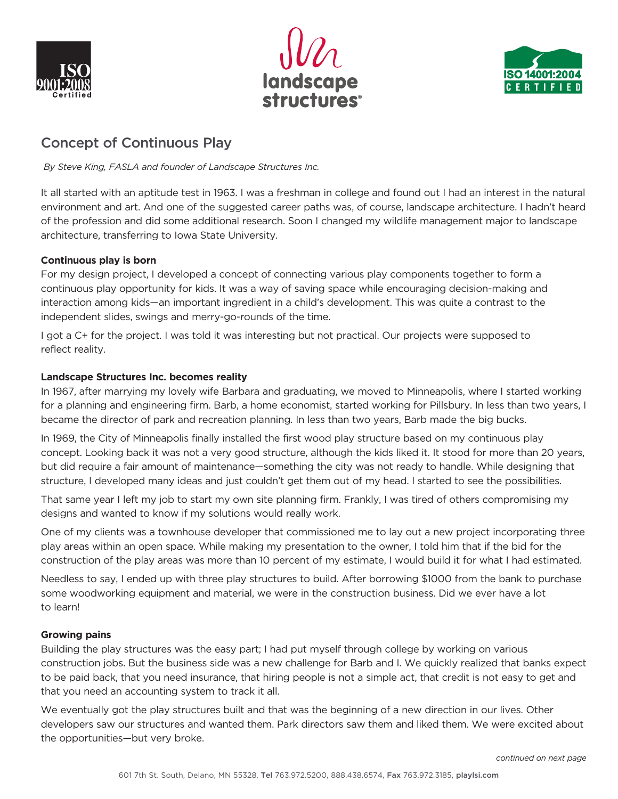





# Concept of Continuous Play

 *By Steve King, FASLA and founder of Landscape Structures Inc.*

It all started with an aptitude test in 1963. I was a freshman in college and found out I had an interest in the natural environment and art. And one of the suggested career paths was, of course, landscape architecture. I hadn't heard of the profession and did some additional research. Soon I changed my wildlife management major to landscape architecture, transferring to Iowa State University.

# **Continuous play is born**

For my design project, I developed a concept of connecting various play components together to form a continuous play opportunity for kids. It was a way of saving space while encouraging decision-making and interaction among kids—an important ingredient in a child's development. This was quite a contrast to the independent slides, swings and merry-go-rounds of the time.

I got a C+ for the project. I was told it was interesting but not practical. Our projects were supposed to reflect reality.

# **Landscape Structures Inc. becomes reality**

In 1967, after marrying my lovely wife Barbara and graduating, we moved to Minneapolis, where I started working for a planning and engineering firm. Barb, a home economist, started working for Pillsbury. In less than two years, I became the director of park and recreation planning. In less than two years, Barb made the big bucks.

In 1969, the City of Minneapolis finally installed the first wood play structure based on my continuous play concept. Looking back it was not a very good structure, although the kids liked it. It stood for more than 20 years, but did require a fair amount of maintenance—something the city was not ready to handle. While designing that structure, I developed many ideas and just couldn't get them out of my head. I started to see the possibilities.

That same year I left my job to start my own site planning firm. Frankly, I was tired of others compromising my designs and wanted to know if my solutions would really work.

One of my clients was a townhouse developer that commissioned me to lay out a new project incorporating three play areas within an open space. While making my presentation to the owner, I told him that if the bid for the construction of the play areas was more than 10 percent of my estimate, I would build it for what I had estimated.

Needless to say, I ended up with three play structures to build. After borrowing \$1000 from the bank to purchase some woodworking equipment and material, we were in the construction business. Did we ever have a lot to learn!

## **Growing pains**

Building the play structures was the easy part; I had put myself through college by working on various construction jobs. But the business side was a new challenge for Barb and I. We quickly realized that banks expect to be paid back, that you need insurance, that hiring people is not a simple act, that credit is not easy to get and that you need an accounting system to track it all.

We eventually got the play structures built and that was the beginning of a new direction in our lives. Other developers saw our structures and wanted them. Park directors saw them and liked them. We were excited about the opportunities—but very broke.